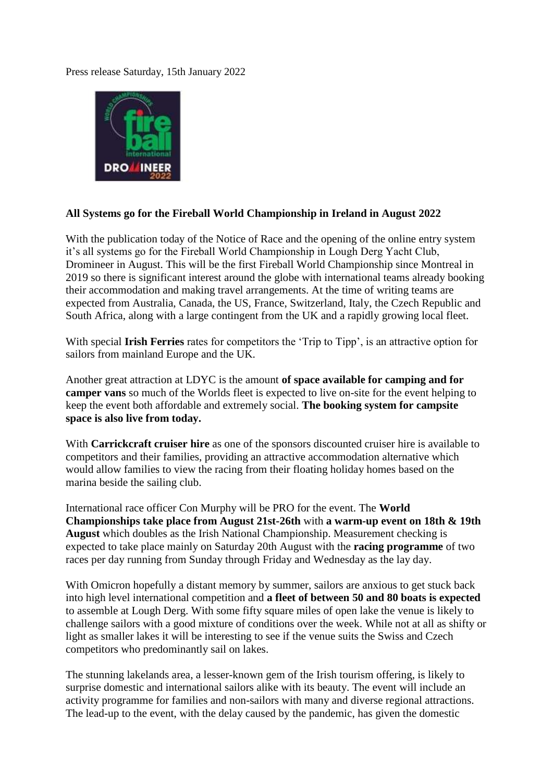Press release Saturday, 15th January 2022



## **All Systems go for the Fireball World Championship in Ireland in August 2022**

With the publication today of the Notice of Race and the opening of the online entry system it's all systems go for the Fireball World Championship in Lough Derg Yacht Club, Dromineer in August. This will be the first Fireball World Championship since Montreal in 2019 so there is significant interest around the globe with international teams already booking their accommodation and making travel arrangements. At the time of writing teams are expected from Australia, Canada, the US, France, Switzerland, Italy, the Czech Republic and South Africa, along with a large contingent from the UK and a rapidly growing local fleet.

With special **Irish Ferries** rates for competitors the 'Trip to Tipp', is an attractive option for sailors from mainland Europe and the UK.

Another great attraction at LDYC is the amount **of space available for camping and for camper vans** so much of the Worlds fleet is expected to live on-site for the event helping to keep the event both affordable and extremely social. **The booking system for campsite space is also live from today.**

With **Carrickcraft cruiser hire** as one of the sponsors discounted cruiser hire is available to competitors and their families, providing an attractive accommodation alternative which would allow families to view the racing from their floating holiday homes based on the marina beside the sailing club.

International race officer Con Murphy will be PRO for the event. The **World Championships take place from August 21st-26th** with **a warm-up event on 18th & 19th August** which doubles as the Irish National Championship. Measurement checking is expected to take place mainly on Saturday 20th August with the **racing programme** of two races per day running from Sunday through Friday and Wednesday as the lay day.

With Omicron hopefully a distant memory by summer, sailors are anxious to get stuck back into high level international competition and **a fleet of between 50 and 80 boats is expected** to assemble at Lough Derg. With some fifty square miles of open lake the venue is likely to challenge sailors with a good mixture of conditions over the week. While not at all as shifty or light as smaller lakes it will be interesting to see if the venue suits the Swiss and Czech competitors who predominantly sail on lakes.

The stunning lakelands area, a lesser-known gem of the Irish tourism offering, is likely to surprise domestic and international sailors alike with its beauty. The event will include an activity programme for families and non-sailors with many and diverse regional attractions. The lead-up to the event, with the delay caused by the pandemic, has given the domestic